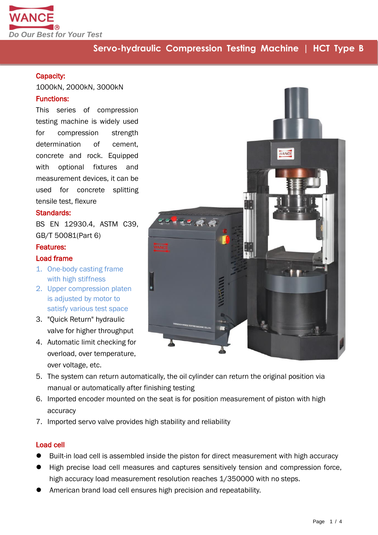

## **Servo-hydraulic Compression Testing Machine | HCT Type B**

#### Capacity:

1000kN, 2000kN, 3000kN

#### Functions:

This series of compression testing machine is widely used for compression strength determination of cement. concrete and rock. Equipped with optional fixtures and measurement devices, it can be used for concrete splitting tensile test, flexure

#### Standards:

BS EN 12930.4, ASTM C39, GB/T 50081(Part 6)

#### Features:

#### Load frame

- 1. One-body casting frame with high stiffness
- 2. Upper compression platen is adjusted by motor to satisfy various test space
- 3. "Quick Return" hydraulic valve for higher throughput
- 4. Automatic limit checking for overload, over temperature, over voltage, etc.
- WANCE **KERR**
- 5. The system can return automatically, the oil cylinder can return the original position via manual or automatically after finishing testing
- 6. Imported encoder mounted on the seat is for position measurement of piston with high accuracy
- 7. Imported servo valve provides high stability and reliability

#### Load cell

- Built-in load cell is assembled inside the piston for direct measurement with high accuracy
- High precise load cell measures and captures sensitively tension and compression force, high accuracy load measurement resolution reaches 1/350000 with no steps.
- American brand load cell ensures high precision and repeatability.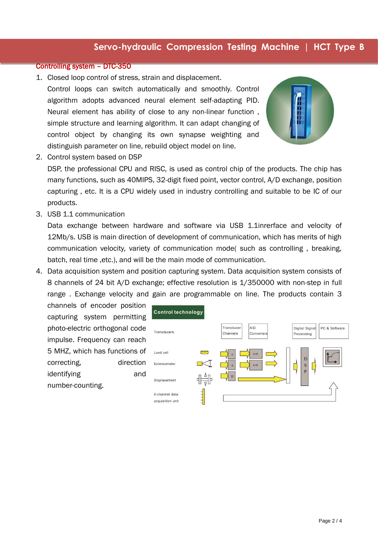## **Servo-hydraulic Compression Testing Machine | HCT Type B**

#### Controlling system – DTC-350

1. Closed loop control of stress, strain and displacement. Control loops can switch automatically and smoothly. Control algorithm adopts advanced neural element self-adapting PID. Neural element has ability of close to any non-linear function , simple structure and learning algorithm. It can adapt changing of control object by changing its own synapse weighting and distinguish parameter on line, rebuild object model on line.



2. Control system based on DSP

DSP, the professional CPU and RISC, is used as control chip of the products. The chip has many functions, such as 40MIPS, 32-digit fixed point, vector control, A/D exchange, position capturing , etc. It is a CPU widely used in industry controlling and suitable to be IC of our products.

3. USB 1.1 communication

Data exchange between hardware and software via USB 1.1inrerface and velocity of 12Mb/s. USB is main direction of development of communication, which has merits of high communication velocity, variety of communication mode( such as controlling , breaking, batch, real time ,etc.), and will be the main mode of communication.

4. Data acquisition system and position capturing system. Data acquisition system consists of 8 channels of 24 bit A/D exchange; effective resolution is 1/350000 with non-step in full range . Exchange velocity and gain are programmable on line. The products contain 3

channels of encoder position capturing system permitting photo-electric orthogonal code impulse. Frequency can reach 5 MHZ, which has functions of correcting, direction identifying and number-counting.

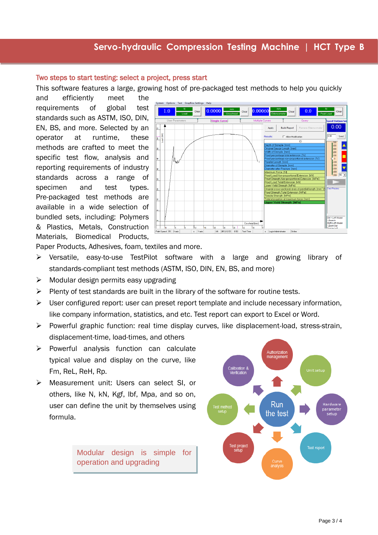#### Two steps to start testing: select a project, press start

This software features a large, growing host of pre-packaged test methods to help you quickly

and efficiently meet the requirements of global test standards such as ASTM, ISO, DIN, EN, BS, and more. Selected by an operator at runtime, these methods are crafted to meet the specific test flow, analysis and reporting requirements of industry standards across a range of specimen and test types. Pre-packaged test methods are available in a wide selection of bundled sets, including: Polymers & Plastics, Metals, Construction Materials, Biomedical Products,

Ï



Paper Products, Adhesives, foam, textiles and more.

- Versatile, easy-to-use TestPilot software with a large and growing library of standards-compliant test methods (ASTM, ISO, DIN, EN, BS, and more)
- $\triangleright$  Modular design permits easy upgrading
- $\triangleright$  Plenty of test standards are built in the library of the software for routine tests.
- $\triangleright$  User configured report: user can preset report template and include necessary information, like company information, statistics, and etc. Test report can export to Excel or Word.
- $\triangleright$  Powerful graphic function: real time display curves, like displacement-load, stress-strain, displacement-time, load-times, and others
- $\triangleright$  Powerful analysis function can calculate typical value and display on the curve, like Fm, ReL, ReH, Rp.
- Measurement unit: Users can select SI, or others, like N, kN, Kgf, lbf, Mpa, and so on, user can define the unit by themselves using formula.

Modular design is simple for operation and upgrading